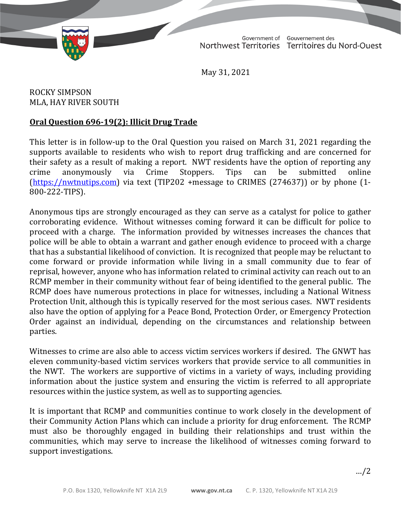TD 417-19(2) TABLED ON JUNE 1, 2021

Government of Gouvernement des Northwest Territories Territoires du Nord-Ouest

May 31, 2021

ROCKY SIMPSON MLA, HAY RIVER SOUTH

## **Oral Question 696-19(2): Illicit Drug Trade**

This letter is in follow-up to the Oral Question you raised on March 31, 2021 regarding the supports available to residents who wish to report drug trafficking and are concerned for their safety as a result of making a report. NWT residents have the option of reporting any crime anonymously via Crime Stoppers. Tips can be submitted online crime anonymously via Crime Stoppers. Tips can be submitted online [\(https://nwtnutips.com\)](https://nwtnutips.com/) via text (TIP202 +message to CRIMES (274637)) or by phone (1- 800-222-TIPS).

Anonymous tips are strongly encouraged as they can serve as a catalyst for police to gather corroborating evidence. Without witnesses coming forward it can be difficult for police to proceed with a charge. The information provided by witnesses increases the chances that police will be able to obtain a warrant and gather enough evidence to proceed with a charge that has a substantial likelihood of conviction. It is recognized that people may be reluctant to come forward or provide information while living in a small community due to fear of reprisal, however, anyone who has information related to criminal activity can reach out to an RCMP member in their community without fear of being identified to the general public. The RCMP does have numerous protections in place for witnesses, including a National Witness Protection Unit, although this is typically reserved for the most serious cases. NWT residents also have the option of applying for a Peace Bond, Protection Order, or Emergency Protection Order against an individual, depending on the circumstances and relationship between parties.

Witnesses to crime are also able to access victim services workers if desired. The GNWT has eleven community-based victim services workers that provide service to all communities in the NWT. The workers are supportive of victims in a variety of ways, including providing information about the justice system and ensuring the victim is referred to all appropriate resources within the justice system, as well as to supporting agencies.

It is important that RCMP and communities continue to work closely in the development of their Community Action Plans which can include a priority for drug enforcement. The RCMP must also be thoroughly engaged in building their relationships and trust within the communities, which may serve to increase the likelihood of witnesses coming forward to support investigations.

…/2